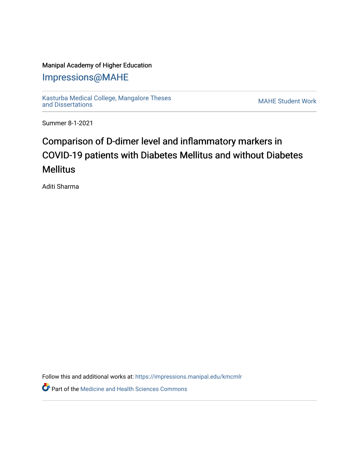## Manipal Academy of Higher Education

## [Impressions@MAHE](https://impressions.manipal.edu/)

[Kasturba Medical College, Mangalore Theses](https://impressions.manipal.edu/kmcmlr) [and Dissertations](https://impressions.manipal.edu/kmcmlr) [MAHE Student Work](https://impressions.manipal.edu/student-work) 

Summer 8-1-2021

## Comparison of D-dimer level and inflammatory markers in COVID-19 patients with Diabetes Mellitus and without Diabetes **Mellitus**

Aditi Sharma

Follow this and additional works at: [https://impressions.manipal.edu/kmcmlr](https://impressions.manipal.edu/kmcmlr?utm_source=impressions.manipal.edu%2Fkmcmlr%2F238&utm_medium=PDF&utm_campaign=PDFCoverPages) 

**Part of the Medicine and Health Sciences Commons**